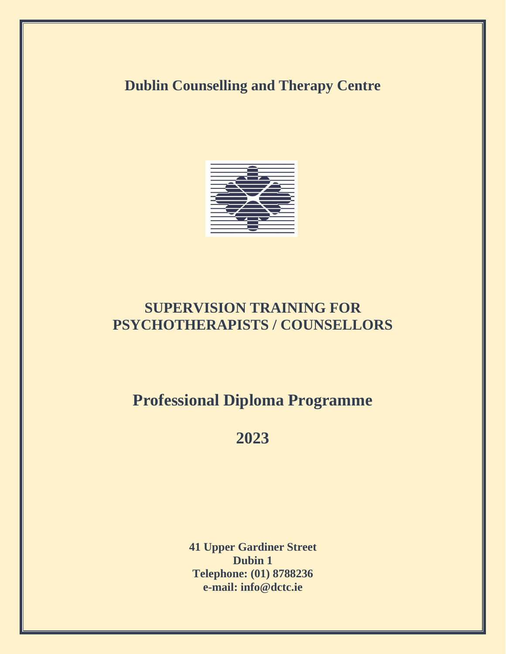# **Dublin Counselling and Therapy Centre**



# **SUPERVISION TRAINING FOR PSYCHOTHERAPISTS / COUNSELLORS**

# **Professional Diploma Programme**

# **2023**

**41 Upper Gardiner Street Dubin 1 Telephone: (01) 8788236 e-mail: info@dctc.ie**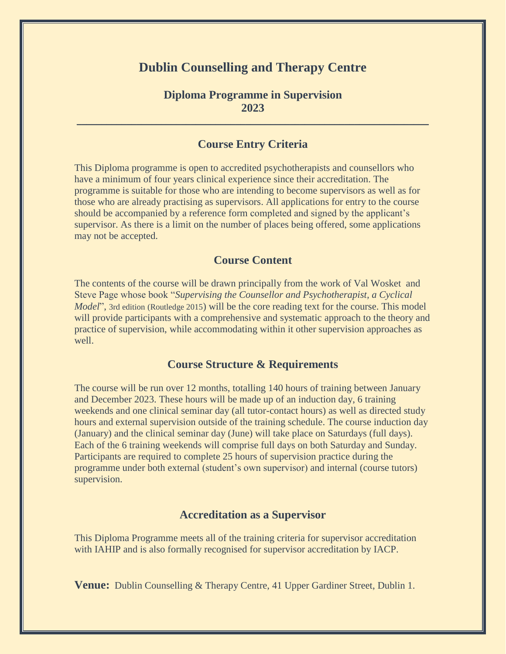## **Dublin Counselling and Therapy Centre**

### **Diploma Programme in Supervision 2023**

 $\_$  , and the set of the set of the set of the set of the set of the set of the set of the set of the set of the set of the set of the set of the set of the set of the set of the set of the set of the set of the set of th

### **Course Entry Criteria**

This Diploma programme is open to accredited psychotherapists and counsellors who have a minimum of four years clinical experience since their accreditation. The programme is suitable for those who are intending to become supervisors as well as for those who are already practising as supervisors. All applications for entry to the course should be accompanied by a reference form completed and signed by the applicant's supervisor. As there is a limit on the number of places being offered, some applications may not be accepted.

#### **Course Content**

The contents of the course will be drawn principally from the work of Val Wosket and Steve Page whose book "*Supervising the Counsellor and Psychotherapist, a Cyclical Model*", 3rd edition (Routledge 2015) will be the core reading text for the course. This model will provide participants with a comprehensive and systematic approach to the theory and practice of supervision, while accommodating within it other supervision approaches as well.

#### **Course Structure & Requirements**

The course will be run over 12 months, totalling 140 hours of training between January and December 2023. These hours will be made up of an induction day, 6 training weekends and one clinical seminar day (all tutor-contact hours) as well as directed study hours and external supervision outside of the training schedule. The course induction day (January) and the clinical seminar day (June) will take place on Saturdays (full days). Each of the 6 training weekends will comprise full days on both Saturday and Sunday. Participants are required to complete 25 hours of supervision practice during the programme under both external (student's own supervisor) and internal (course tutors) supervision.

#### **Accreditation as a Supervisor**

This Diploma Programme meets all of the training criteria for supervisor accreditation with IAHIP and is also formally recognised for supervisor accreditation by IACP.

**Venue:** Dublin Counselling & Therapy Centre, 41 Upper Gardiner Street, Dublin 1.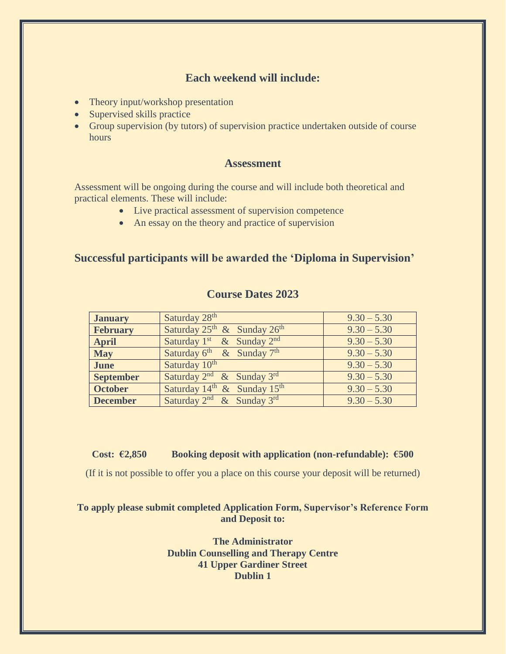### **Each weekend will include:**

- Theory input/workshop presentation
- Supervised skills practice
- Group supervision (by tutors) of supervision practice undertaken outside of course hours

#### **Assessment**

Assessment will be ongoing during the course and will include both theoretical and practical elements. These will include:

- Live practical assessment of supervision competence
- An essay on the theory and practice of supervision

### **Successful participants will be awarded the 'Diploma in Supervision'**

| <b>January</b>   | Saturday 28th                                       | $9.30 - 5.30$ |
|------------------|-----------------------------------------------------|---------------|
| <b>February</b>  | Saturday $25^{\text{th}}$ & Sunday $26^{\text{th}}$ | $9.30 - 5.30$ |
| <b>April</b>     | Saturday $1st$ & Sunday $2nd$                       | $9.30 - 5.30$ |
| <b>May</b>       | Saturday $6^{\text{th}}$ & Sunday $7^{\text{th}}$   | $9.30 - 5.30$ |
| <b>June</b>      | Saturday 10th                                       | $9.30 - 5.30$ |
| <b>September</b> | Saturday $2^{nd}$ & Sunday 3rd                      | $9.30 - 5.30$ |
| <b>October</b>   | Saturday 14 <sup>th</sup> & Sunday 15 <sup>th</sup> | $9.30 - 5.30$ |
| <b>December</b>  | Saturday $2^{nd}$ & Sunday $3^{rd}$                 | $9.30 - 5.30$ |

#### **Course Dates 2023**

#### **Cost: €2,850 Booking deposit with application (non-refundable): €500**

(If it is not possible to offer you a place on this course your deposit will be returned)

#### **To apply please submit completed Application Form, Supervisor's Reference Form and Deposit to:**

**The Administrator Dublin Counselling and Therapy Centre 41 Upper Gardiner Street Dublin 1**